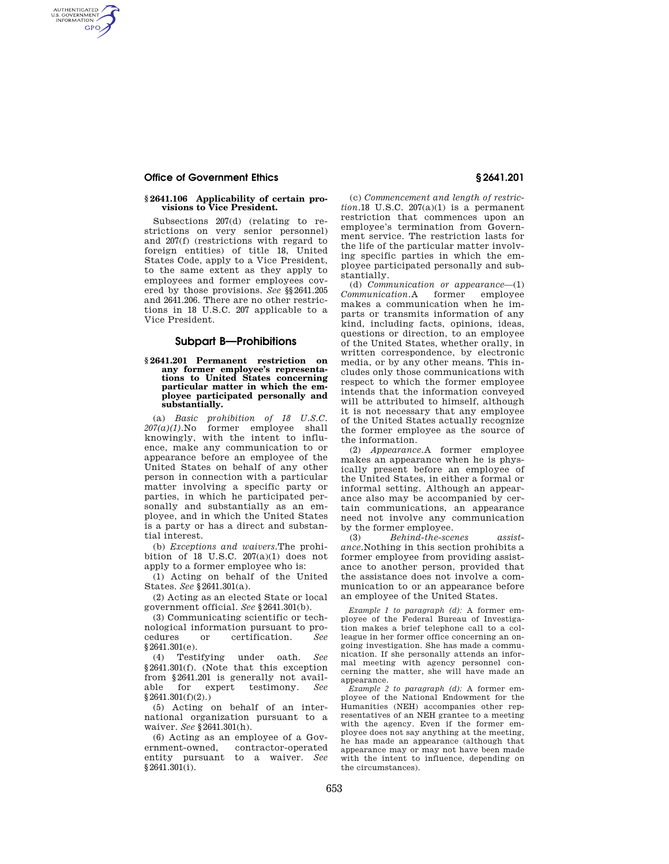AUTHENTICATED<br>U.S. GOVERNMENT<br>INFORMATION **GPO** 

### **§ 2641.106 Applicability of certain provisions to Vice President.**

Subsections 207(d) (relating to restrictions on very senior personnel) and 207(f) (restrictions with regard to foreign entities) of title 18, United States Code, apply to a Vice President, to the same extent as they apply to employees and former employees covered by those provisions. *See* §§2641.205 and 2641.206. There are no other restrictions in 18 U.S.C. 207 applicable to a Vice President.

# **Subpart B—Prohibitions**

## **§ 2641.201 Permanent restriction on any former employee's representations to United States concerning particular matter in which the employee participated personally and substantially.**

(a) *Basic prohibition of 18 U.S.C. 207(a)(1).*No former employee shall knowingly, with the intent to influence, make any communication to or appearance before an employee of the United States on behalf of any other person in connection with a particular matter involving a specific party or parties, in which he participated personally and substantially as an employee, and in which the United States is a party or has a direct and substantial interest.

(b) *Exceptions and waivers.*The prohibition of 18 U.S.C.  $207(a)(1)$  does not apply to a former employee who is:

(1) Acting on behalf of the United States. *See* §2641.301(a).

(2) Acting as an elected State or local government official. *See* §2641.301(b).

(3) Communicating scientific or technological information pursuant to procedures or certification. *See*  §2641.301(e).

(4) Testifying under oath. *See*  §2641.301(f). (Note that this exception from §2641.201 is generally not available for expert testimony. *See*  §2641.301(f)(2).)

(5) Acting on behalf of an international organization pursuant to a waiver. *See* §2641.301(h).

(6) Acting as an employee of a Government-owned, contractor-operated entity pursuant to a waiver. *See*   $$2641.301(i).$ 

(c) *Commencement and length of restric* $tion.18$  U.S.C.  $207(a)(1)$  is a permanent restriction that commences upon an employee's termination from Government service. The restriction lasts for the life of the particular matter involving specific parties in which the employee participated personally and substantially.

(d) *Communication or appearance*—(1) *Communication.*A former employee makes a communication when he imparts or transmits information of any kind, including facts, opinions, ideas, questions or direction, to an employee of the United States, whether orally, in written correspondence, by electronic media, or by any other means. This includes only those communications with respect to which the former employee intends that the information conveyed will be attributed to himself, although it is not necessary that any employee of the United States actually recognize the former employee as the source of the information.

(2) *Appearance.*A former employee makes an appearance when he is physically present before an employee of the United States, in either a formal or informal setting. Although an appearance also may be accompanied by certain communications, an appearance need not involve any communication by the former employee.

(3) *Behind-the-scenes assistance.*Nothing in this section prohibits a former employee from providing assistance to another person, provided that the assistance does not involve a communication to or an appearance before an employee of the United States.

*Example 1 to paragraph (d):* A former employee of the Federal Bureau of Investigation makes a brief telephone call to a colleague in her former office concerning an ongoing investigation. She has made a communication. If she personally attends an informal meeting with agency personnel concerning the matter, she will have made an appearance.

*Example 2 to paragraph (d):* A former employee of the National Endowment for the Humanities (NEH) accompanies other representatives of an NEH grantee to a meeting with the agency. Even if the former employee does not say anything at the meeting, he has made an appearance (although that appearance may or may not have been made with the intent to influence, depending on the circumstances).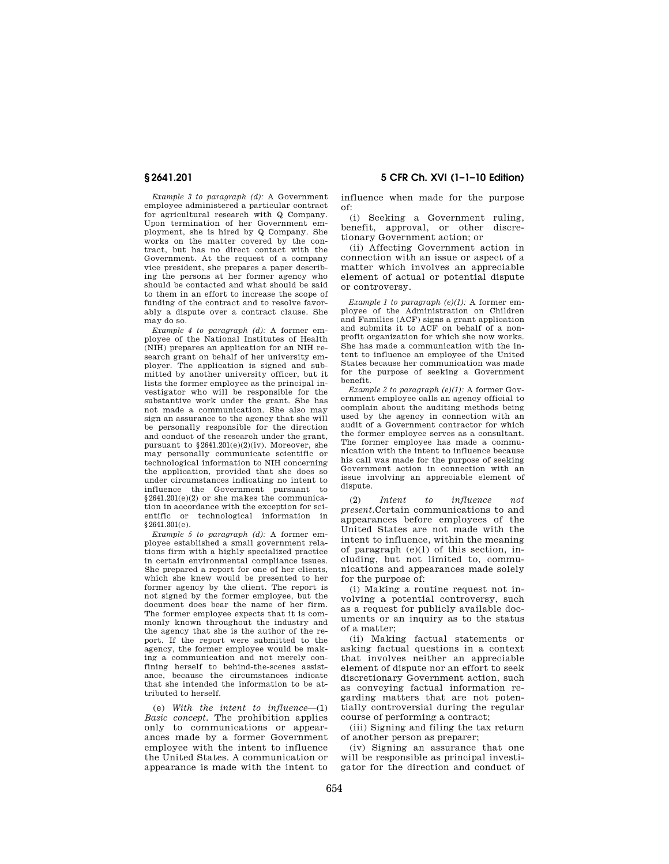**§ 2641.201 5 CFR Ch. XVI (1–1–10 Edition)** 

*Example 3 to paragraph (d):* A Government employee administered a particular contract for agricultural research with Q Company. Upon termination of her Government employment, she is hired by Q Company. She works on the matter covered by the contract, but has no direct contact with the Government. At the request of a company vice president, she prepares a paper describing the persons at her former agency who should be contacted and what should be said to them in an effort to increase the scope of funding of the contract and to resolve favorably a dispute over a contract clause. She may do so.

*Example 4 to paragraph (d):* A former employee of the National Institutes of Health (NIH) prepares an application for an NIH research grant on behalf of her university employer. The application is signed and submitted by another university officer, but it lists the former employee as the principal investigator who will be responsible for the substantive work under the grant. She has not made a communication. She also may sign an assurance to the agency that she will be personally responsible for the direction and conduct of the research under the grant, pursuant to  $$2641.201(e)(2)(iv)$ . Moreover, she may personally communicate scientific or technological information to NIH concerning the application, provided that she does so under circumstances indicating no intent to influence the Government pursuant to §2641.201(e)(2) or she makes the communication in accordance with the exception for scientific or technological information in §2641.301(e).

*Example 5 to paragraph (d):* A former employee established a small government relations firm with a highly specialized practice in certain environmental compliance issues. She prepared a report for one of her clients, which she knew would be presented to her former agency by the client. The report is not signed by the former employee, but the document does bear the name of her firm. The former employee expects that it is commonly known throughout the industry and the agency that she is the author of the report. If the report were submitted to the agency, the former employee would be making a communication and not merely confining herself to behind-the-scenes assistance, because the circumstances indicate that she intended the information to be attributed to herself.

(e) *With the intent to influence*—(1) *Basic concept.* The prohibition applies only to communications or appearances made by a former Government employee with the intent to influence the United States. A communication or appearance is made with the intent to

influence when made for the purpose of:

(i) Seeking a Government ruling, benefit, approval, or other discretionary Government action; or

(ii) Affecting Government action in connection with an issue or aspect of a matter which involves an appreciable element of actual or potential dispute or controversy.

*Example 1 to paragraph (e)(1):* A former employee of the Administration on Children and Families (ACF) signs a grant application and submits it to ACF on behalf of a nonprofit organization for which she now works. She has made a communication with the intent to influence an employee of the United States because her communication was made for the purpose of seeking a Government benefit.

*Example 2 to paragraph (e)(1):* A former Government employee calls an agency official to complain about the auditing methods being used by the agency in connection with an audit of a Government contractor for which the former employee serves as a consultant. The former employee has made a communication with the intent to influence because his call was made for the purpose of seeking Government action in connection with an issue involving an appreciable element of dispute.

(2) *Intent to influence not present.*Certain communications to and appearances before employees of the United States are not made with the intent to influence, within the meaning of paragraph  $(e)(1)$  of this section, including, but not limited to, communications and appearances made solely for the purpose of:

(i) Making a routine request not involving a potential controversy, such as a request for publicly available documents or an inquiry as to the status of a matter;

(ii) Making factual statements or asking factual questions in a context that involves neither an appreciable element of dispute nor an effort to seek discretionary Government action, such as conveying factual information regarding matters that are not potentially controversial during the regular course of performing a contract;

(iii) Signing and filing the tax return of another person as preparer;

(iv) Signing an assurance that one will be responsible as principal investigator for the direction and conduct of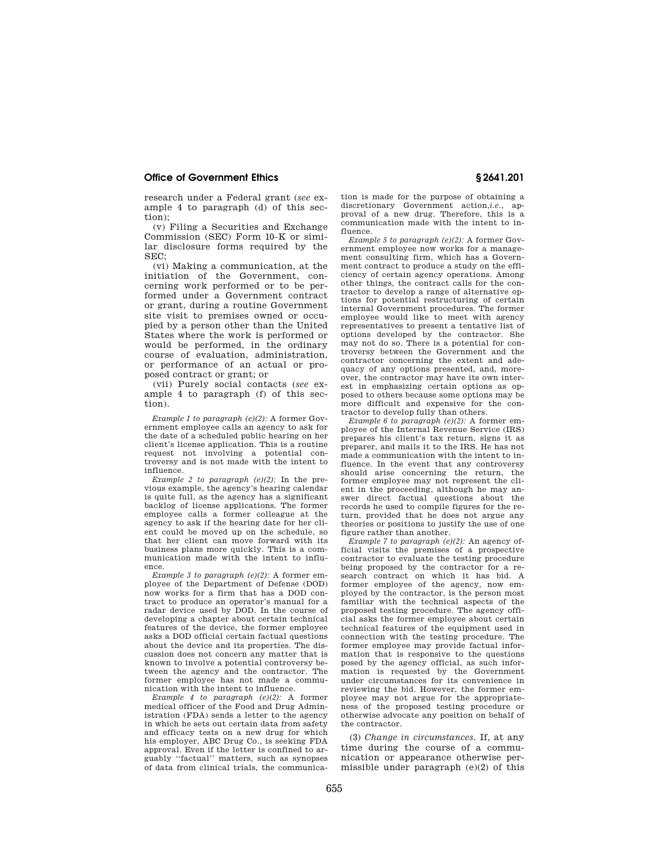research under a Federal grant (*see* example 4 to paragraph (d) of this section);

(v) Filing a Securities and Exchange Commission (SEC) Form 10–K or similar disclosure forms required by the  $SEC$ 

(vi) Making a communication, at the initiation of the Government, concerning work performed or to be performed under a Government contract or grant, during a routine Government site visit to premises owned or occupied by a person other than the United States where the work is performed or would be performed, in the ordinary course of evaluation, administration, or performance of an actual or proposed contract or grant; or

(vii) Purely social contacts (*see* example 4 to paragraph (f) of this section).

*Example 1 to paragraph (e)(2):* A former Government employee calls an agency to ask for the date of a scheduled public hearing on her client's license application. This is a routine request not involving a potential controversy and is not made with the intent to influence.

*Example 2 to paragraph (e)(2):* In the previous example, the agency's hearing calendar is quite full, as the agency has a significant backlog of license applications. The former employee calls a former colleague at the agency to ask if the hearing date for her client could be moved up on the schedule, so that her client can move forward with its business plans more quickly. This is a communication made with the intent to influence.

*Example 3 to paragraph (e)(2):* A former employee of the Department of Defense (DOD) now works for a firm that has a DOD contract to produce an operator's manual for a radar device used by DOD. In the course of developing a chapter about certain technical features of the device, the former employee asks a DOD official certain factual questions about the device and its properties. The discussion does not concern any matter that is known to involve a potential controversy between the agency and the contractor. The former employee has not made a communication with the intent to influence.

*Example 4 to paragraph (e)(2):* A former medical officer of the Food and Drug Administration (FDA) sends a letter to the agency in which he sets out certain data from safety and efficacy tests on a new drug for which his employer, ABC Drug Co., is seeking FDA approval. Even if the letter is confined to arguably ''factual'' matters, such as synopses of data from clinical trials, the communica-

tion is made for the purpose of obtaining a discretionary Government action,*i.e.*, approval of a new drug. Therefore, this is a communication made with the intent to influence.

*Example 5 to paragraph (e)(2):* A former Government employee now works for a management consulting firm, which has a Government contract to produce a study on the efficiency of certain agency operations. Among other things, the contract calls for the contractor to develop a range of alternative options for potential restructuring of certain internal Government procedures. The former employee would like to meet with agency representatives to present a tentative list of options developed by the contractor. She may not do so. There is a potential for controversy between the Government and the contractor concerning the extent and adequacy of any options presented, and, moreover, the contractor may have its own interest in emphasizing certain options as opposed to others because some options may be more difficult and expensive for the contractor to develop fully than others.

*Example 6 to paragraph (e)(2):* A former employee of the Internal Revenue Service (IRS) prepares his client's tax return, signs it as preparer, and mails it to the IRS. He has not made a communication with the intent to influence. In the event that any controversy should arise concerning the return, the former employee may not represent the client in the proceeding, although he may answer direct factual questions about the records he used to compile figures for the return, provided that he does not argue any theories or positions to justify the use of one figure rather than another.

*Example 7 to paragraph (e)(2):* An agency official visits the premises of a prospective contractor to evaluate the testing procedure being proposed by the contractor for a research contract on which it has bid. A former employee of the agency, now employed by the contractor, is the person most familiar with the technical aspects of the proposed testing procedure. The agency official asks the former employee about certain technical features of the equipment used in connection with the testing procedure. The former employee may provide factual information that is responsive to the questions posed by the agency official, as such information is requested by the Government under circumstances for its convenience in reviewing the bid. However, the former employee may not argue for the appropriateness of the proposed testing procedure or otherwise advocate any position on behalf of the contractor.

(3) *Change in circumstances.* If, at any time during the course of a communication or appearance otherwise permissible under paragraph  $(e)(2)$  of this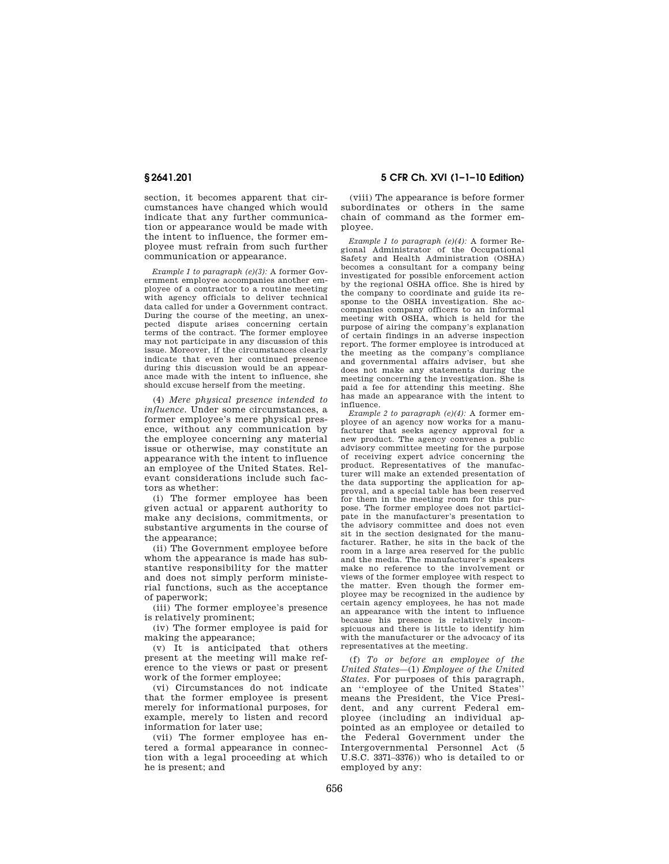section, it becomes apparent that circumstances have changed which would indicate that any further communication or appearance would be made with the intent to influence, the former employee must refrain from such further communication or appearance.

*Example 1 to paragraph (e)(3):* A former Government employee accompanies another employee of a contractor to a routine meeting with agency officials to deliver technical data called for under a Government contract. During the course of the meeting, an unexpected dispute arises concerning certain terms of the contract. The former employee may not participate in any discussion of this issue. Moreover, if the circumstances clearly indicate that even her continued presence during this discussion would be an appearance made with the intent to influence, she should excuse herself from the meeting.

(4) *Mere physical presence intended to influence.* Under some circumstances, a former employee's mere physical presence, without any communication by the employee concerning any material issue or otherwise, may constitute an appearance with the intent to influence an employee of the United States. Relevant considerations include such factors as whether:

(i) The former employee has been given actual or apparent authority to make any decisions, commitments, or substantive arguments in the course of the appearance;

(ii) The Government employee before whom the appearance is made has substantive responsibility for the matter and does not simply perform ministerial functions, such as the acceptance of paperwork;

(iii) The former employee's presence is relatively prominent;

(iv) The former employee is paid for making the appearance;

(v) It is anticipated that others present at the meeting will make reference to the views or past or present work of the former employee;

(vi) Circumstances do not indicate that the former employee is present merely for informational purposes, for example, merely to listen and record information for later use;

(vii) The former employee has entered a formal appearance in connection with a legal proceeding at which he is present; and

**§ 2641.201 5 CFR Ch. XVI (1–1–10 Edition)** 

(viii) The appearance is before former subordinates or others in the same chain of command as the former employee.

*Example 1 to paragraph (e)(4):* A former Regional Administrator of the Occupational Safety and Health Administration (OSHA) becomes a consultant for a company being investigated for possible enforcement action by the regional OSHA office. She is hired by the company to coordinate and guide its response to the OSHA investigation. She accompanies company officers to an informal meeting with OSHA, which is held for the purpose of airing the company's explanation of certain findings in an adverse inspection report. The former employee is introduced at the meeting as the company's compliance and governmental affairs adviser, but she does not make any statements during the meeting concerning the investigation. She is paid a fee for attending this meeting. She has made an appearance with the intent to influence.

*Example 2 to paragraph (e)(4):* A former employee of an agency now works for a manufacturer that seeks agency approval for a new product. The agency convenes a public advisory committee meeting for the purpose of receiving expert advice concerning the product. Representatives of the manufacturer will make an extended presentation of the data supporting the application for approval, and a special table has been reserved for them in the meeting room for this purpose. The former employee does not participate in the manufacturer's presentation to the advisory committee and does not even sit in the section designated for the manufacturer. Rather, he sits in the back of the room in a large area reserved for the public and the media. The manufacturer's speakers make no reference to the involvement or views of the former employee with respect to the matter. Even though the former employee may be recognized in the audience by certain agency employees, he has not made an appearance with the intent to influence because his presence is relatively inconspicuous and there is little to identify him with the manufacturer or the advocacy of its representatives at the meeting.

(f) *To or before an employee of the United States*—(1) *Employee of the United States*. For purposes of this paragraph, an ''employee of the United States'' means the President, the Vice President, and any current Federal employee (including an individual appointed as an employee or detailed to the Federal Government under the Intergovernmental Personnel Act (5 U.S.C. 3371–3376)) who is detailed to or employed by any: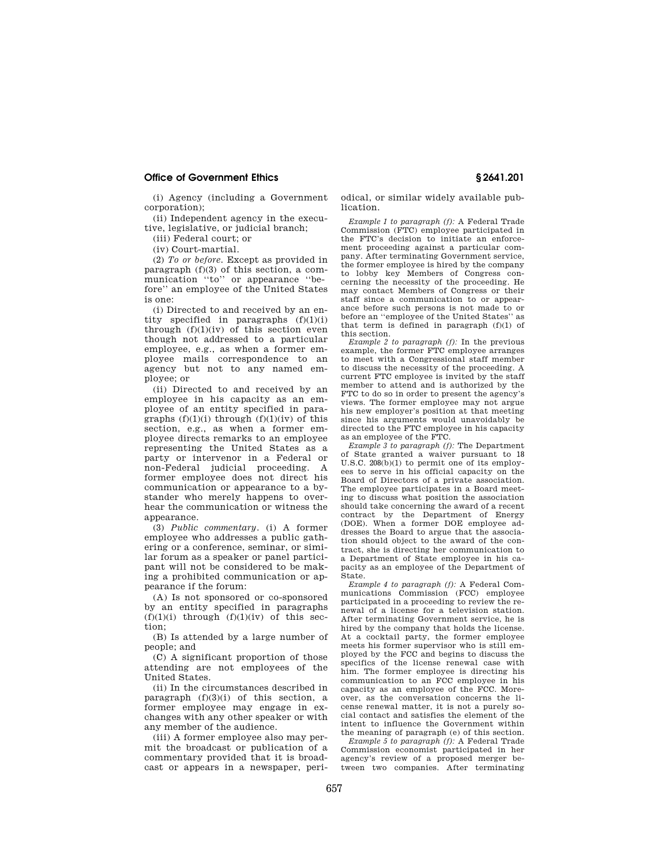(i) Agency (including a Government corporation);

(ii) Independent agency in the executive, legislative, or judicial branch;

(iii) Federal court; or

(iv) Court-martial.

(2) *To or before.* Except as provided in paragraph (f)(3) of this section, a communication ''to'' or appearance ''before'' an employee of the United States is one:

(i) Directed to and received by an entity specified in paragraphs  $(f)(1)(i)$ through  $(f)(1)(iv)$  of this section even though not addressed to a particular employee, e.g., as when a former employee mails correspondence to an agency but not to any named employee; or

(ii) Directed to and received by an employee in his capacity as an employee of an entity specified in paragraphs  $(f)(1)(i)$  through  $(f)(1)(iv)$  of this section, e.g., as when a former employee directs remarks to an employee representing the United States as a party or intervenor in a Federal or non-Federal judicial proceeding. A former employee does not direct his communication or appearance to a bystander who merely happens to overhear the communication or witness the appearance.

(3) *Public commentary.* (i) A former employee who addresses a public gathering or a conference, seminar, or similar forum as a speaker or panel participant will not be considered to be making a prohibited communication or appearance if the forum:

(A) Is not sponsored or co-sponsored by an entity specified in paragraphs  $(f)(1)(i)$  through  $(f)(1)(iv)$  of this section;

(B) Is attended by a large number of people; and

(C) A significant proportion of those attending are not employees of the United States.

(ii) In the circumstances described in paragraph  $(f)(3)(i)$  of this section, a former employee may engage in exchanges with any other speaker or with any member of the audience.

(iii) A former employee also may permit the broadcast or publication of a commentary provided that it is broadcast or appears in a newspaper, periodical, or similar widely available publication.

*Example 1 to paragraph (f):* A Federal Trade Commission (FTC) employee participated in the FTC's decision to initiate an enforcement proceeding against a particular company. After terminating Government service, the former employee is hired by the company to lobby key Members of Congress concerning the necessity of the proceeding. He may contact Members of Congress or their staff since a communication to or appearance before such persons is not made to or before an ''employee of the United States'' as that term is defined in paragraph (f)(1) of this section.

*Example 2 to paragraph (f):* In the previous example, the former FTC employee arranges to meet with a Congressional staff member to discuss the necessity of the proceeding. A current FTC employee is invited by the staff member to attend and is authorized by the FTC to do so in order to present the agency's views. The former employee may not argue his new employer's position at that meeting since his arguments would unavoidably be directed to the FTC employee in his capacity as an employee of the FTC.

*Example 3 to paragraph (f):* The Department of State granted a waiver pursuant to 18 U.S.C. 208(b)(1) to permit one of its employees to serve in his official capacity on the Board of Directors of a private association. The employee participates in a Board meeting to discuss what position the association should take concerning the award of a recent contract by the Department of Energy (DOE). When a former DOE employee addresses the Board to argue that the association should object to the award of the contract, she is directing her communication to a Department of State employee in his capacity as an employee of the Department of State.

*Example 4 to paragraph (f):* A Federal Communications Commission (FCC) employee participated in a proceeding to review the renewal of a license for a television station. After terminating Government service, he is hired by the company that holds the license. At a cocktail party, the former employee meets his former supervisor who is still employed by the FCC and begins to discuss the specifics of the license renewal case with him. The former employee is directing his communication to an FCC employee in his capacity as an employee of the FCC. Moreover, as the conversation concerns the license renewal matter, it is not a purely social contact and satisfies the element of the intent to influence the Government within the meaning of paragraph (e) of this section.

*Example 5 to paragraph (f):* A Federal Trade Commission economist participated in her agency's review of a proposed merger between two companies. After terminating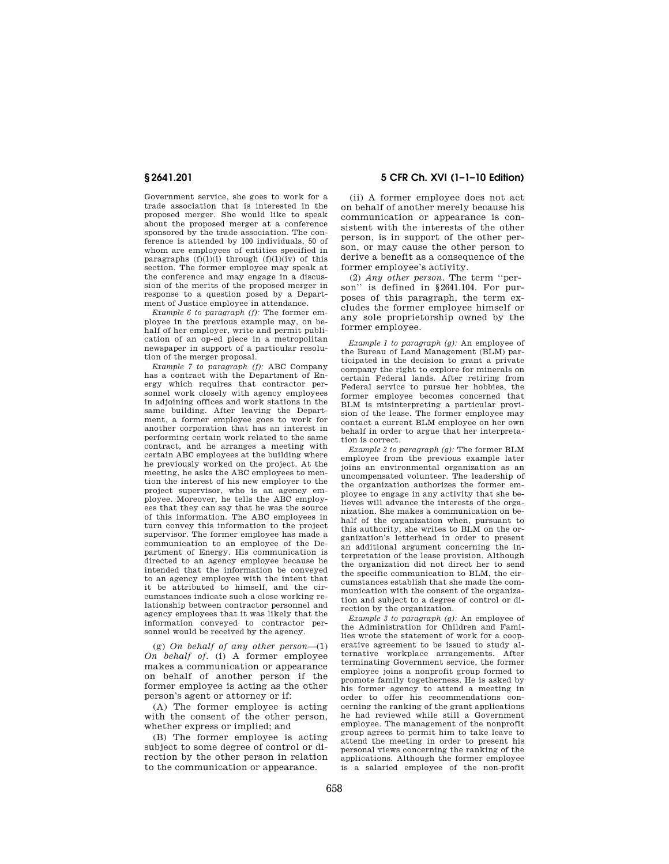Government service, she goes to work for a trade association that is interested in the proposed merger. She would like to speak about the proposed merger at a conference sponsored by the trade association. The conference is attended by 100 individuals, 50 of whom are employees of entities specified in paragraphs  $(f)(1)(i)$  through  $(f)(1)(iv)$  of this section. The former employee may speak at the conference and may engage in a discussion of the merits of the proposed merger in response to a question posed by a Department of Justice employee in attendance.

*Example 6 to paragraph (f):* The former employee in the previous example may, on behalf of her employer, write and permit publication of an op-ed piece in a metropolitan newspaper in support of a particular resolution of the merger proposal.

*Example 7 to paragraph (f):* ABC Company has a contract with the Department of Energy which requires that contractor personnel work closely with agency employees in adjoining offices and work stations in the same building. After leaving the Department, a former employee goes to work for another corporation that has an interest in performing certain work related to the same contract, and he arranges a meeting with certain ABC employees at the building where he previously worked on the project. At the meeting, he asks the ABC employees to mention the interest of his new employer to the project supervisor, who is an agency employee. Moreover, he tells the ABC employees that they can say that he was the source of this information. The ABC employees in turn convey this information to the project supervisor. The former employee has made a communication to an employee of the Department of Energy. His communication is directed to an agency employee because he intended that the information be conveyed to an agency employee with the intent that it be attributed to himself, and the circumstances indicate such a close working relationship between contractor personnel and agency employees that it was likely that the information conveyed to contractor personnel would be received by the agency.

(g) *On behalf of any other person*—(1) *On behalf of.* (i) A former employee makes a communication or appearance on behalf of another person if the former employee is acting as the other person's agent or attorney or if:

(A) The former employee is acting with the consent of the other person, whether express or implied; and

(B) The former employee is acting subject to some degree of control or direction by the other person in relation to the communication or appearance.

**§ 2641.201 5 CFR Ch. XVI (1–1–10 Edition)** 

(ii) A former employee does not act on behalf of another merely because his communication or appearance is consistent with the interests of the other person, is in support of the other person, or may cause the other person to derive a benefit as a consequence of the former employee's activity.

(2) *Any other person.* The term ''person'' is defined in §2641.104. For purposes of this paragraph, the term excludes the former employee himself or any sole proprietorship owned by the former employee.

*Example 1 to paragraph (g):* An employee of the Bureau of Land Management (BLM) participated in the decision to grant a private company the right to explore for minerals on certain Federal lands. After retiring from Federal service to pursue her hobbies, the former employee becomes concerned that BLM is misinterpreting a particular provision of the lease. The former employee may contact a current BLM employee on her own behalf in order to argue that her interpretation is correct.

*Example 2 to paragraph (g):* The former BLM employee from the previous example later joins an environmental organization as an uncompensated volunteer. The leadership of the organization authorizes the former employee to engage in any activity that she believes will advance the interests of the organization. She makes a communication on behalf of the organization when, pursuant to this authority, she writes to BLM on the organization's letterhead in order to present an additional argument concerning the interpretation of the lease provision. Although the organization did not direct her to send the specific communication to BLM, the circumstances establish that she made the communication with the consent of the organization and subject to a degree of control or direction by the organization.

*Example 3 to paragraph (g):* An employee of the Administration for Children and Families wrote the statement of work for a cooperative agreement to be issued to study alternative workplace arrangements. After terminating Government service, the former employee joins a nonprofit group formed to promote family togetherness. He is asked by his former agency to attend a meeting in order to offer his recommendations concerning the ranking of the grant applications he had reviewed while still a Government employee. The management of the nonprofit group agrees to permit him to take leave to attend the meeting in order to present his personal views concerning the ranking of the applications. Although the former employee is a salaried employee of the non-profit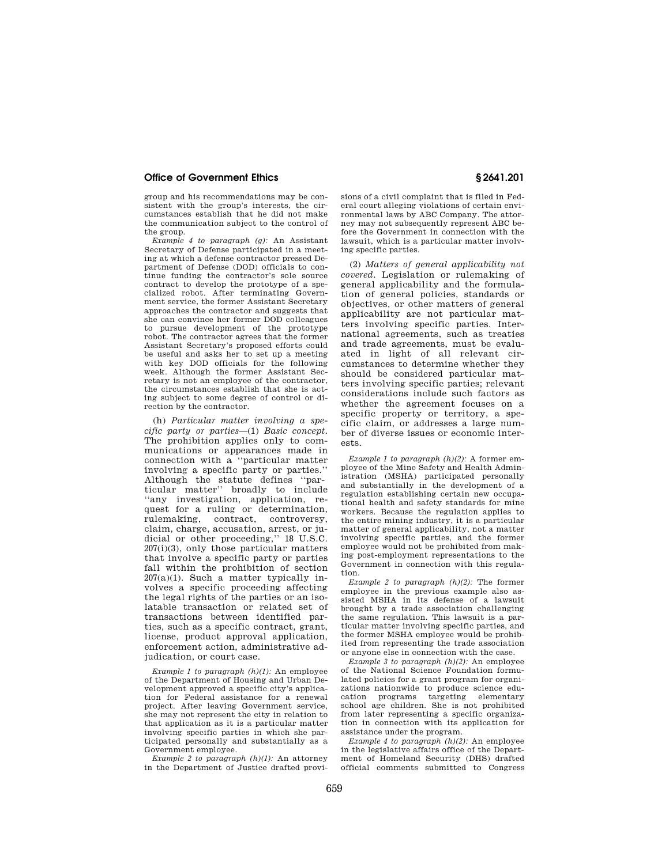group and his recommendations may be consistent with the group's interests, the circumstances establish that he did not make the communication subject to the control of the group.

*Example 4 to paragraph (g):* An Assistant Secretary of Defense participated in a meeting at which a defense contractor pressed Department of Defense (DOD) officials to continue funding the contractor's sole source contract to develop the prototype of a specialized robot. After terminating Government service, the former Assistant Secretary approaches the contractor and suggests that she can convince her former DOD colleagues to pursue development of the prototype robot. The contractor agrees that the former Assistant Secretary's proposed efforts could be useful and asks her to set up a meeting with key DOD officials for the following week. Although the former Assistant Secretary is not an employee of the contractor, the circumstances establish that she is acting subject to some degree of control or direction by the contractor.

(h) *Particular matter involving a specific party or parties*—(1) *Basic concept.*  The prohibition applies only to communications or appearances made in connection with a ''particular matter involving a specific party or parties.'' Although the statute defines ''particular matter'' broadly to include ''any investigation, application, request for a ruling or determination, rulemaking, contract, controversy, claim, charge, accusation, arrest, or judicial or other proceeding,'' 18 U.S.C. 207(i)(3), only those particular matters that involve a specific party or parties fall within the prohibition of section  $207(a)(1)$ . Such a matter typically involves a specific proceeding affecting the legal rights of the parties or an isolatable transaction or related set of transactions between identified parties, such as a specific contract, grant, license, product approval application, enforcement action, administrative adjudication, or court case.

*Example 1 to paragraph (h)(1):* An employee of the Department of Housing and Urban Development approved a specific city's application for Federal assistance for a renewal project. After leaving Government service, she may not represent the city in relation to that application as it is a particular matter involving specific parties in which she participated personally and substantially as a Government employee.

*Example 2 to paragraph (h)(1):* An attorney in the Department of Justice drafted provisions of a civil complaint that is filed in Federal court alleging violations of certain environmental laws by ABC Company. The attorney may not subsequently represent ABC before the Government in connection with the lawsuit, which is a particular matter involving specific parties.

(2) *Matters of general applicability not covered.* Legislation or rulemaking of general applicability and the formulation of general policies, standards or objectives, or other matters of general applicability are not particular matters involving specific parties. International agreements, such as treaties and trade agreements, must be evaluated in light of all relevant circumstances to determine whether they should be considered particular matters involving specific parties; relevant considerations include such factors as whether the agreement focuses on a specific property or territory, a specific claim, or addresses a large number of diverse issues or economic interests.

*Example 1 to paragraph (h)(2):* A former employee of the Mine Safety and Health Administration (MSHA) participated personally and substantially in the development of a regulation establishing certain new occupational health and safety standards for mine workers. Because the regulation applies to the entire mining industry, it is a particular matter of general applicability, not a matter involving specific parties, and the former employee would not be prohibited from making post-employment representations to the Government in connection with this regulation.

*Example 2 to paragraph (h)(2):* The former employee in the previous example also assisted MSHA in its defense of a lawsuit brought by a trade association challenging the same regulation. This lawsuit is a particular matter involving specific parties, and the former MSHA employee would be prohibited from representing the trade association or anyone else in connection with the case.

*Example 3 to paragraph (h)(2):* An employee of the National Science Foundation formulated policies for a grant program for organizations nationwide to produce science education programs targeting elementary school age children. She is not prohibited from later representing a specific organization in connection with its application for assistance under the program.

*Example 4 to paragraph (h)(2):* An employee in the legislative affairs office of the Department of Homeland Security (DHS) drafted official comments submitted to Congress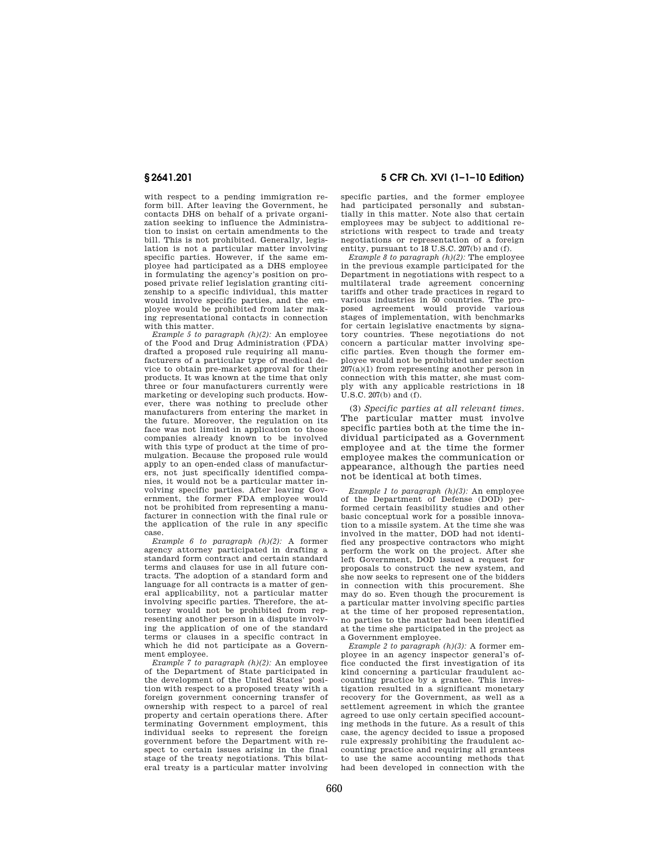with respect to a pending immigration reform bill. After leaving the Government, he contacts DHS on behalf of a private organization seeking to influence the Administration to insist on certain amendments to the bill. This is not prohibited. Generally, legislation is not a particular matter involving specific parties. However, if the same employee had participated as a DHS employee in formulating the agency's position on proposed private relief legislation granting citizenship to a specific individual, this matter would involve specific parties, and the employee would be prohibited from later making representational contacts in connection with this matter.

*Example 5 to paragraph (h)(2):* An employee of the Food and Drug Administration (FDA) drafted a proposed rule requiring all manufacturers of a particular type of medical device to obtain pre-market approval for their products. It was known at the time that only three or four manufacturers currently were marketing or developing such products. However, there was nothing to preclude other manufacturers from entering the market in the future. Moreover, the regulation on its face was not limited in application to those companies already known to be involved with this type of product at the time of promulgation. Because the proposed rule would apply to an open-ended class of manufacturers, not just specifically identified companies, it would not be a particular matter involving specific parties. After leaving Government, the former FDA employee would not be prohibited from representing a manufacturer in connection with the final rule or the application of the rule in any specific case.

*Example 6 to paragraph (h)(2):* A former agency attorney participated in drafting a standard form contract and certain standard terms and clauses for use in all future contracts. The adoption of a standard form and language for all contracts is a matter of general applicability, not a particular matter involving specific parties. Therefore, the attorney would not be prohibited from representing another person in a dispute involving the application of one of the standard terms or clauses in a specific contract in which he did not participate as a Government employee.

*Example 7 to paragraph (h)(2):* An employee of the Department of State participated in the development of the United States' position with respect to a proposed treaty with a foreign government concerning transfer of ownership with respect to a parcel of real property and certain operations there. After terminating Government employment, this individual seeks to represent the foreign government before the Department with respect to certain issues arising in the final stage of the treaty negotiations. This bilateral treaty is a particular matter involving

# **§ 2641.201 5 CFR Ch. XVI (1–1–10 Edition)**

specific parties, and the former employee had participated personally and substantially in this matter. Note also that certain employees may be subject to additional restrictions with respect to trade and treaty negotiations or representation of a foreign entity, pursuant to 18 U.S.C. 207(b) and (f).

*Example 8 to paragraph (h)(2):* The employee in the previous example participated for the Department in negotiations with respect to a multilateral trade agreement concerning tariffs and other trade practices in regard to various industries in 50 countries. The proposed agreement would provide various stages of implementation, with benchmarks for certain legislative enactments by signatory countries. These negotiations do not concern a particular matter involving specific parties. Even though the former employee would not be prohibited under section 207(a)(1) from representing another person in connection with this matter, she must comply with any applicable restrictions in 18  $\overline{U}$ .S.C. 207(b) and  $\overline{f}$ .

(3) *Specific parties at all relevant times*. The particular matter must involve specific parties both at the time the individual participated as a Government employee and at the time the former employee makes the communication or appearance, although the parties need not be identical at both times.

*Example 1 to paragraph (h)(3):* An employee of the Department of Defense (DOD) performed certain feasibility studies and other basic conceptual work for a possible innovation to a missile system. At the time she was involved in the matter, DOD had not identified any prospective contractors who might perform the work on the project. After she left Government, DOD issued a request for proposals to construct the new system, and she now seeks to represent one of the bidders in connection with this procurement. She may do so. Even though the procurement is a particular matter involving specific parties at the time of her proposed representation, no parties to the matter had been identified at the time she participated in the project as a Government employee.

*Example 2 to paragraph (h)(3):* A former employee in an agency inspector general's office conducted the first investigation of its kind concerning a particular fraudulent accounting practice by a grantee. This investigation resulted in a significant monetary recovery for the Government, as well as a settlement agreement in which the grantee agreed to use only certain specified accounting methods in the future. As a result of this case, the agency decided to issue a proposed rule expressly prohibiting the fraudulent accounting practice and requiring all grantees to use the same accounting methods that had been developed in connection with the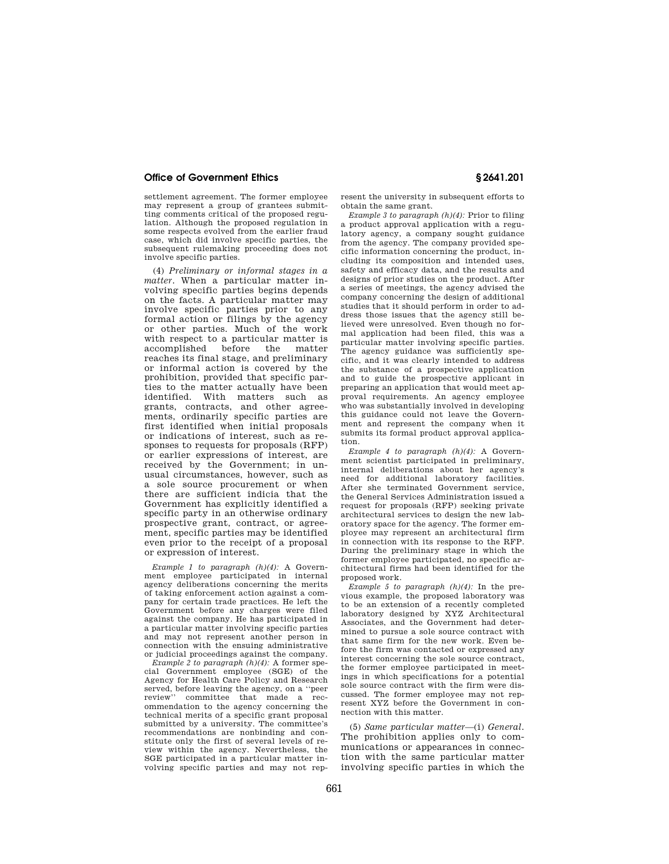settlement agreement. The former employee may represent a group of grantees submitting comments critical of the proposed regulation. Although the proposed regulation in some respects evolved from the earlier fraud case, which did involve specific parties, the subsequent rulemaking proceeding does not involve specific parties.

(4) *Preliminary or informal stages in a matter*. When a particular matter involving specific parties begins depends on the facts. A particular matter may involve specific parties prior to any formal action or filings by the agency or other parties. Much of the work with respect to a particular matter is accomplished before the matter reaches its final stage, and preliminary or informal action is covered by the prohibition, provided that specific parties to the matter actually have been identified. With matters such as grants, contracts, and other agreements, ordinarily specific parties are first identified when initial proposals or indications of interest, such as responses to requests for proposals (RFP) or earlier expressions of interest, are received by the Government; in unusual circumstances, however, such as a sole source procurement or when there are sufficient indicia that the Government has explicitly identified a specific party in an otherwise ordinary prospective grant, contract, or agreement, specific parties may be identified even prior to the receipt of a proposal or expression of interest.

*Example 1 to paragraph (h)(4):* A Government employee participated in internal agency deliberations concerning the merits of taking enforcement action against a company for certain trade practices. He left the Government before any charges were filed against the company. He has participated in a particular matter involving specific parties and may not represent another person in connection with the ensuing administrative or judicial proceedings against the company.

*Example 2 to paragraph (h)(4):* A former special Government employee (SGE) of the Agency for Health Care Policy and Research served, before leaving the agency, on a "peer<br>review" committee that made a reccommittee that made a recommendation to the agency concerning the technical merits of a specific grant proposal submitted by a university. The committee's recommendations are nonbinding and constitute only the first of several levels of review within the agency. Nevertheless, the SGE participated in a particular matter involving specific parties and may not represent the university in subsequent efforts to obtain the same grant.

*Example 3 to paragraph (h)(4):* Prior to filing a product approval application with a regulatory agency, a company sought guidance from the agency. The company provided specific information concerning the product, including its composition and intended uses, safety and efficacy data, and the results and designs of prior studies on the product. After a series of meetings, the agency advised the company concerning the design of additional studies that it should perform in order to address those issues that the agency still believed were unresolved. Even though no formal application had been filed, this was a particular matter involving specific parties. The agency guidance was sufficiently specific, and it was clearly intended to address the substance of a prospective application and to guide the prospective applicant in preparing an application that would meet approval requirements. An agency employee who was substantially involved in developing this guidance could not leave the Government and represent the company when it submits its formal product approval application.

*Example 4 to paragraph (h)(4):* A Government scientist participated in preliminary, internal deliberations about her agency's need for additional laboratory facilities. After she terminated Government service, the General Services Administration issued a request for proposals (RFP) seeking private architectural services to design the new laboratory space for the agency. The former employee may represent an architectural firm in connection with its response to the RFP. During the preliminary stage in which the former employee participated, no specific architectural firms had been identified for the proposed work.

*Example 5 to paragraph (h)(4):* In the previous example, the proposed laboratory was to be an extension of a recently completed laboratory designed by XYZ Architectural Associates, and the Government had determined to pursue a sole source contract with that same firm for the new work. Even before the firm was contacted or expressed any interest concerning the sole source contract, the former employee participated in meetings in which specifications for a potential sole source contract with the firm were discussed. The former employee may not represent XYZ before the Government in connection with this matter.

(5) *Same particular matter*—(i) *General.*  The prohibition applies only to communications or appearances in connection with the same particular matter involving specific parties in which the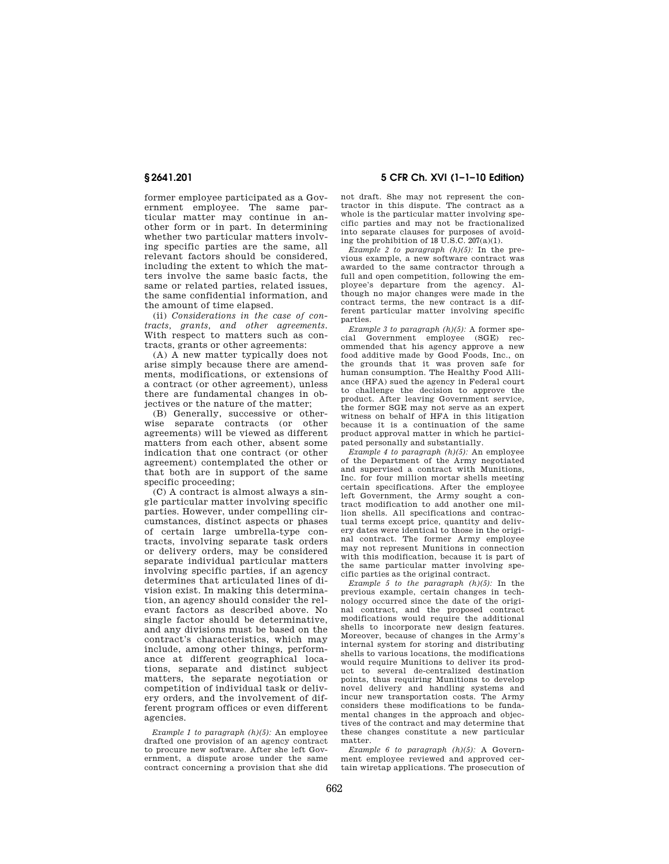former employee participated as a Government employee. The same particular matter may continue in another form or in part. In determining whether two particular matters involving specific parties are the same, all relevant factors should be considered, including the extent to which the matters involve the same basic facts, the same or related parties, related issues, the same confidential information, and the amount of time elapsed.

(ii) *Considerations in the case of contracts, grants, and other agreements*. With respect to matters such as contracts, grants or other agreements:

(A) A new matter typically does not arise simply because there are amendments, modifications, or extensions of a contract (or other agreement), unless there are fundamental changes in objectives or the nature of the matter;

(B) Generally, successive or otherwise separate contracts (or other agreements) will be viewed as different matters from each other, absent some indication that one contract (or other agreement) contemplated the other or that both are in support of the same specific proceeding;

(C) A contract is almost always a single particular matter involving specific parties. However, under compelling circumstances, distinct aspects or phases of certain large umbrella-type contracts, involving separate task orders or delivery orders, may be considered separate individual particular matters involving specific parties, if an agency determines that articulated lines of division exist. In making this determination, an agency should consider the relevant factors as described above. No single factor should be determinative, and any divisions must be based on the contract's characteristics, which may include, among other things, performance at different geographical locations, separate and distinct subject matters, the separate negotiation or competition of individual task or delivery orders, and the involvement of different program offices or even different agencies.

*Example 1 to paragraph (h)(5):* An employee drafted one provision of an agency contract to procure new software. After she left Government, a dispute arose under the same contract concerning a provision that she did

**§ 2641.201 5 CFR Ch. XVI (1–1–10 Edition)** 

not draft. She may not represent the contractor in this dispute. The contract as a whole is the particular matter involving specific parties and may not be fractionalized into separate clauses for purposes of avoiding the prohibition of 18 U.S.C. 207(a)(1).

*Example 2 to paragraph (h)(5):* In the previous example, a new software contract was awarded to the same contractor through a full and open competition, following the employee's departure from the agency. Although no major changes were made in the contract terms, the new contract is a different particular matter involving specific parties.

*Example 3 to paragraph (h)(5):* A former special Government employee (SGE) recommended that his agency approve a new food additive made by Good Foods, Inc., on the grounds that it was proven safe for human consumption. The Healthy Food Alliance (HFA) sued the agency in Federal court to challenge the decision to approve the product. After leaving Government service, the former SGE may not serve as an expert witness on behalf of HFA in this litigation because it is a continuation of the same product approval matter in which he participated personally and substantially.

*Example 4 to paragraph (h)(5):* An employee of the Department of the Army negotiated and supervised a contract with Munitions, Inc. for four million mortar shells meeting certain specifications. After the employee left Government, the Army sought a contract modification to add another one million shells. All specifications and contractual terms except price, quantity and delivery dates were identical to those in the original contract. The former Army employee may not represent Munitions in connection with this modification, because it is part of the same particular matter involving specific parties as the original contract.

*Example 5 to the paragraph (h)(5):* In the previous example, certain changes in technology occurred since the date of the original contract, and the proposed contract modifications would require the additional shells to incorporate new design features. Moreover, because of changes in the Army's internal system for storing and distributing shells to various locations, the modifications would require Munitions to deliver its product to several de-centralized destination points, thus requiring Munitions to develop novel delivery and handling systems and incur new transportation costs. The Army considers these modifications to be fundamental changes in the approach and objectives of the contract and may determine that these changes constitute a new particular matter.

*Example 6 to paragraph (h)(5):* A Government employee reviewed and approved certain wiretap applications. The prosecution of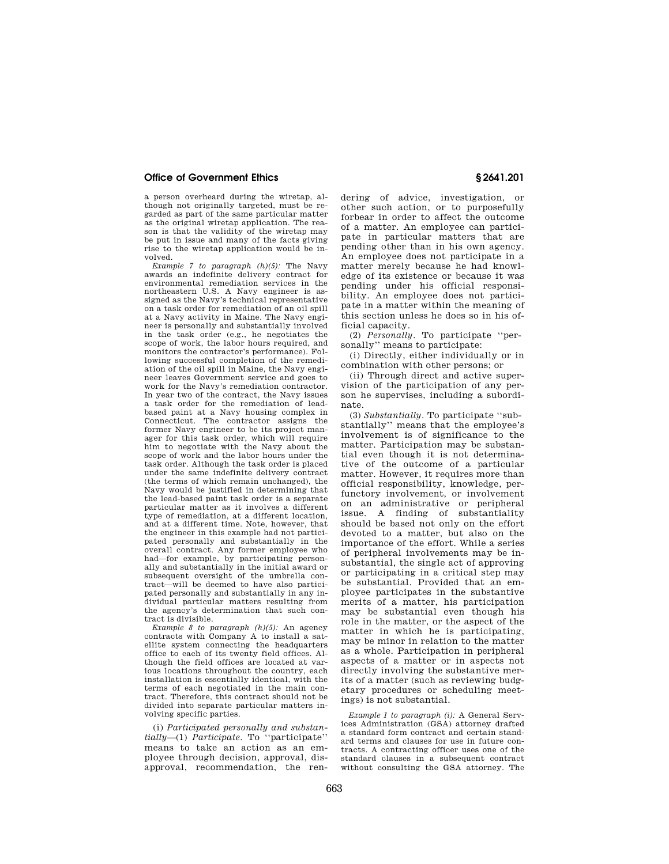a person overheard during the wiretap, although not originally targeted, must be regarded as part of the same particular matter as the original wiretap application. The reason is that the validity of the wiretap may be put in issue and many of the facts giving rise to the wiretap application would be involved.

*Example 7 to paragraph (h)(5):* The Navy awards an indefinite delivery contract for environmental remediation services in the northeastern U.S. A Navy engineer is assigned as the Navy's technical representative on a task order for remediation of an oil spill at a Navy activity in Maine. The Navy engineer is personally and substantially involved in the task order (e.g., he negotiates the scope of work, the labor hours required, and monitors the contractor's performance). Following successful completion of the remediation of the oil spill in Maine, the Navy engineer leaves Government service and goes to work for the Navy's remediation contractor. In year two of the contract, the Navy issues a task order for the remediation of leadbased paint at a Navy housing complex in Connecticut. The contractor assigns the former Navy engineer to be its project manager for this task order, which will require him to negotiate with the Navy about the scope of work and the labor hours under the task order. Although the task order is placed under the same indefinite delivery contract (the terms of which remain unchanged), the Navy would be justified in determining that the lead-based paint task order is a separate particular matter as it involves a different type of remediation, at a different location, and at a different time. Note, however, that the engineer in this example had not participated personally and substantially in the overall contract. Any former employee who had—for example, by participating personally and substantially in the initial award or subsequent oversight of the umbrella contract—will be deemed to have also participated personally and substantially in any individual particular matters resulting from the agency's determination that such contract is divisible.

*Example 8 to paragraph (h)(5):* An agency contracts with Company A to install a satellite system connecting the headquarters office to each of its twenty field offices. Although the field offices are located at various locations throughout the country, each installation is essentially identical, with the terms of each negotiated in the main contract. Therefore, this contract should not be divided into separate particular matters involving specific parties.

(i) *Participated personally and substantially*—(1) *Participate*. To ''participate'' means to take an action as an employee through decision, approval, disapproval, recommendation, the rendering of advice, investigation, or other such action, or to purposefully forbear in order to affect the outcome of a matter. An employee can participate in particular matters that are pending other than in his own agency. An employee does not participate in a matter merely because he had knowledge of its existence or because it was pending under his official responsibility. An employee does not participate in a matter within the meaning of this section unless he does so in his official capacity.

(2) *Personally*. To participate ''personally'' means to participate:

(i) Directly, either individually or in combination with other persons; or

(ii) Through direct and active supervision of the participation of any person he supervises, including a subordinate.

(3) *Substantially*. To participate ''substantially'' means that the employee's involvement is of significance to the matter. Participation may be substantial even though it is not determinative of the outcome of a particular matter. However, it requires more than official responsibility, knowledge, perfunctory involvement, or involvement on an administrative or peripheral issue. A finding of substantiality should be based not only on the effort devoted to a matter, but also on the importance of the effort. While a series of peripheral involvements may be insubstantial, the single act of approving or participating in a critical step may be substantial. Provided that an employee participates in the substantive merits of a matter, his participation may be substantial even though his role in the matter, or the aspect of the matter in which he is participating, may be minor in relation to the matter as a whole. Participation in peripheral aspects of a matter or in aspects not directly involving the substantive merits of a matter (such as reviewing budgetary procedures or scheduling meetings) is not substantial.

*Example 1 to paragraph (i):* A General Services Administration (GSA) attorney drafted a standard form contract and certain standard terms and clauses for use in future contracts. A contracting officer uses one of the standard clauses in a subsequent contract without consulting the GSA attorney. The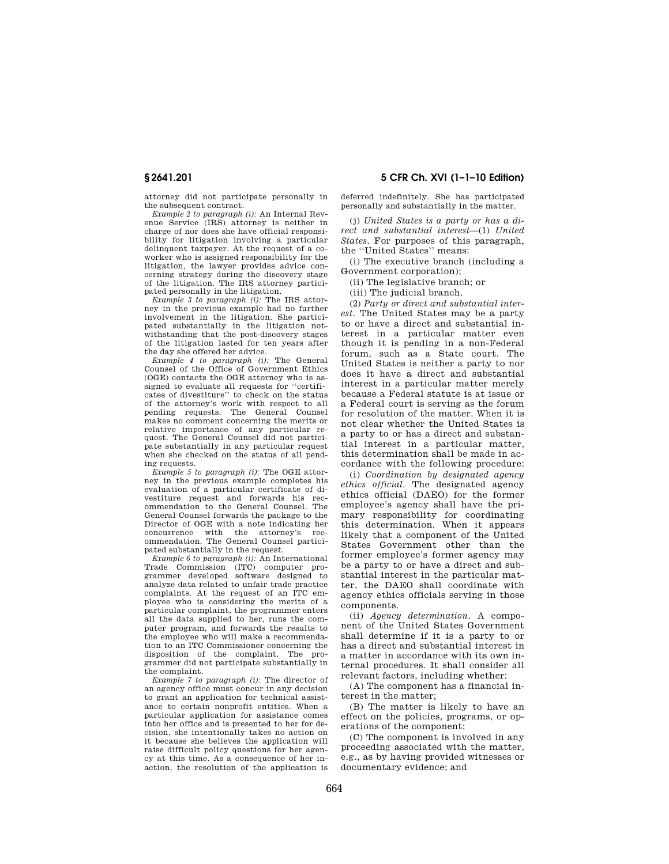attorney did not participate personally in the subsequent contract.

*Example 2 to paragraph (i):* An Internal Revenue Service (IRS) attorney is neither in charge of nor does she have official responsibility for litigation involving a particular delinquent taxpayer. At the request of a coworker who is assigned responsibility for the litigation, the lawyer provides advice concerning strategy during the discovery stage of the litigation. The IRS attorney participated personally in the litigation.

*Example 3 to paragraph (i):* The IRS attorney in the previous example had no further involvement in the litigation. She participated substantially in the litigation notwithstanding that the post-discovery stages of the litigation lasted for ten years after the day she offered her advice.

*Example 4 to paragraph (i):* The General Counsel of the Office of Government Ethics (OGE) contacts the OGE attorney who is assigned to evaluate all requests for ''certificates of divestiture'' to check on the status of the attorney's work with respect to all pending requests. The General Counsel makes no comment concerning the merits or relative importance of any particular request. The General Counsel did not participate substantially in any particular request when she checked on the status of all pending requests.

*Example 5 to paragraph (i):* The OGE attorney in the previous example completes his evaluation of a particular certificate of divestiture request and forwards his recommendation to the General Counsel. The General Counsel forwards the package to the Director of OGE with a note indicating her concurrence with the attorney's recommendation. The General Counsel participated substantially in the request.

*Example 6 to paragraph (i):* An International Trade Commission (ITC) computer programmer developed software designed to analyze data related to unfair trade practice complaints. At the request of an ITC employee who is considering the merits of a particular complaint, the programmer enters all the data supplied to her, runs the computer program, and forwards the results to the employee who will make a recommendation to an ITC Commissioner concerning the disposition of the complaint. The programmer did not participate substantially in the complaint.

*Example 7 to paragraph (i):* The director of an agency office must concur in any decision to grant an application for technical assistance to certain nonprofit entities. When a particular application for assistance comes into her office and is presented to her for decision, she intentionally takes no action on it because she believes the application will raise difficult policy questions for her agency at this time. As a consequence of her inaction, the resolution of the application is

**§ 2641.201 5 CFR Ch. XVI (1–1–10 Edition)** 

deferred indefinitely. She has participated personally and substantially in the matter.

(j) *United States is a party or has a direct and substantial interest*—(1) *United States*. For purposes of this paragraph, the ''United States'' means:

(i) The executive branch (including a Government corporation);

(ii) The legislative branch; or

(iii) The judicial branch.

(2) *Party or direct and substantial interest*. The United States may be a party to or have a direct and substantial interest in a particular matter even though it is pending in a non-Federal forum, such as a State court. The United States is neither a party to nor does it have a direct and substantial interest in a particular matter merely because a Federal statute is at issue or a Federal court is serving as the forum for resolution of the matter. When it is not clear whether the United States is a party to or has a direct and substantial interest in a particular matter, this determination shall be made in accordance with the following procedure:

(i) *Coordination by designated agency ethics official*. The designated agency ethics official (DAEO) for the former employee's agency shall have the primary responsibility for coordinating this determination. When it appears likely that a component of the United States Government other than the former employee's former agency may be a party to or have a direct and substantial interest in the particular matter, the DAEO shall coordinate with agency ethics officials serving in those components.

(ii) *Agency determination*. A component of the United States Government shall determine if it is a party to or has a direct and substantial interest in a matter in accordance with its own internal procedures. It shall consider all relevant factors, including whether:

(A) The component has a financial interest in the matter;

(B) The matter is likely to have an effect on the policies, programs, or operations of the component;

(C) The component is involved in any proceeding associated with the matter, e.g., as by having provided witnesses or documentary evidence; and